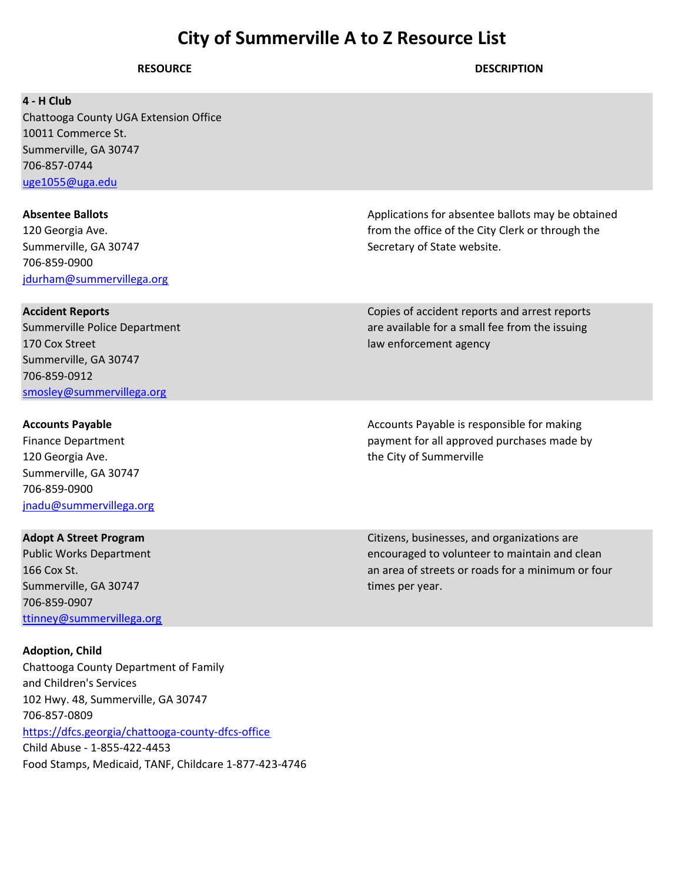| <b>RESOURCE</b>                                                                                                                                                                                                                                                                                | <b>DESCRIPTION</b>                                                                                                                                                   |
|------------------------------------------------------------------------------------------------------------------------------------------------------------------------------------------------------------------------------------------------------------------------------------------------|----------------------------------------------------------------------------------------------------------------------------------------------------------------------|
| 4 - H Club<br>Chattooga County UGA Extension Office<br>10011 Commerce St.<br>Summerville, GA 30747<br>706-857-0744<br>uge1055@uga.edu                                                                                                                                                          |                                                                                                                                                                      |
| <b>Absentee Ballots</b><br>120 Georgia Ave.<br>Summerville, GA 30747<br>706-859-0900<br>jdurham@summervillega.org                                                                                                                                                                              | Applications for absentee ballots may be obtained<br>from the office of the City Clerk or through the<br>Secretary of State website.                                 |
| <b>Accident Reports</b><br>Summerville Police Department<br>170 Cox Street<br>Summerville, GA 30747<br>706-859-0912<br>smosley@summervillega.org                                                                                                                                               | Copies of accident reports and arrest reports<br>are available for a small fee from the issuing<br>law enforcement agency                                            |
| <b>Accounts Payable</b><br><b>Finance Department</b><br>120 Georgia Ave.<br>Summerville, GA 30747<br>706-859-0900<br>jnadu@summervillega.org                                                                                                                                                   | Accounts Payable is responsible for making<br>payment for all approved purchases made by<br>the City of Summerville                                                  |
| <b>Adopt A Street Program</b><br><b>Public Works Department</b><br>166 Cox St.<br>Summerville, GA 30747<br>706-859-0907<br>ttinney@summervillega.org                                                                                                                                           | Citizens, businesses, and organizations are<br>encouraged to volunteer to maintain and clean<br>an area of streets or roads for a minimum or four<br>times per year. |
| <b>Adoption, Child</b><br>Chattooga County Department of Family<br>and Children's Services<br>102 Hwy. 48, Summerville, GA 30747<br>706-857-0809<br>https://dfcs.georgia/chattooga-county-dfcs-office<br>Child Abuse - 1-855-422-4453<br>Food Stamps, Medicaid, TANF, Childcare 1-877-423-4746 |                                                                                                                                                                      |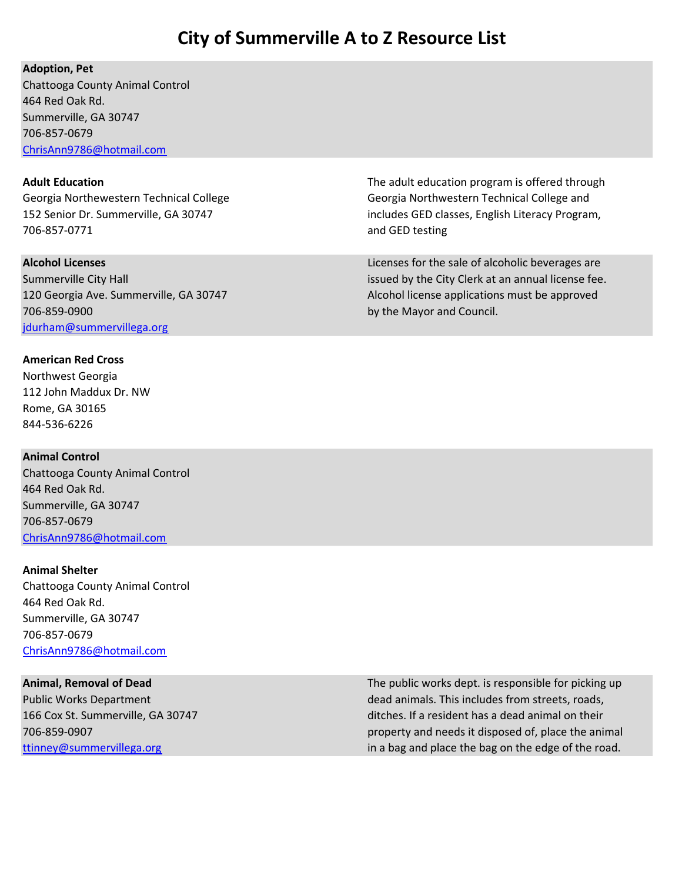### Adoption, Pet

Chattooga County Animal Control 464 Red Oak Rd. Summerville, GA 30747 706-857-0679 ChrisAnn9786@hotmail.com

706-857-0771 and GED testing

706-859-0900 by the Mayor and Council. jdurham@summervillega.org

### American Red Cross

Northwest Georgia 112 John Maddux Dr. NW Rome, GA 30165 844-536-6226

### Animal Control

Chattooga County Animal Control 464 Red Oak Rd. Summerville, GA 30747 706-857-0679 ChrisAnn9786@hotmail.com

### Animal Shelter

Chattooga County Animal Control 464 Red Oak Rd. Summerville, GA 30747 706-857-0679 ChrisAnn9786@hotmail.com

Adult Education **The adult education** The adult education program is offered through Georgia Northewestern Technical College Georgia Northwestern Technical College and 152 Senior Dr. Summerville, GA 30747 includes GED classes, English Literacy Program,

Alcohol Licenses **Alcohol Licenses** are Licenses for the sale of alcoholic beverages are Summerville City Hall issued by the City Clerk at an annual license fee. 120 Georgia Ave. Summerville, GA 30747 Alcohol license applications must be approved

Animal, Removal of Dead The public works dept. is responsible for picking up Public Works Department dead animals. This includes from streets, roads, 166 Cox St. Summerville, GA 30747 ditches. If a resident has a dead animal on their 706-859-0907 property and needs it disposed of, place the animal ttinney@summervillega.org in a bag and place the bag on the edge of the road.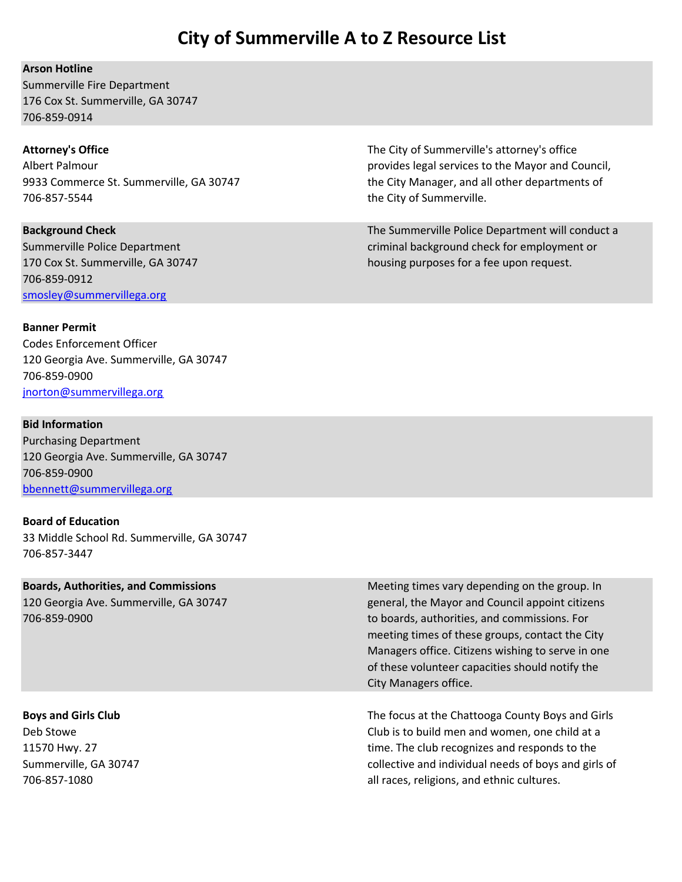### Arson Hotline

Summerville Fire Department 176 Cox St. Summerville, GA 30747 706-859-0914

706-857-5544 the City of Summerville.

706-859-0912 smosley@summervillega.org

Attorney's Office **The City of Summerville's attorney's office** The City of Summerville's attorney's office Albert Palmour **provides** legal services to the Mayor and Council, 9933 Commerce St. Summerville, GA 30747 the City Manager, and all other departments of

Background Check The Summerville Police Department will conduct a Check The Summerville Police Department will conduct a Summerville Police Department criminal background check for employment or 170 Cox St. Summerville, GA 30747 housing purposes for a fee upon request.

### Banner Permit

Codes Enforcement Officer 120 Georgia Ave. Summerville, GA 30747 706-859-0900 jnorton@summervillega.org

### Bid Information

Purchasing Department 120 Georgia Ave. Summerville, GA 30747 706-859-0900 bbennett@summervillega.org

### Board of Education

33 Middle School Rd. Summerville, GA 30747 706-857-3447

Boards, Authorities, and Commissions Meeting times vary depending on the group. In 120 Georgia Ave. Summerville, GA 30747 general, the Mayor and Council appoint citizens 706-859-0900 to boards, authorities, and commissions. For meeting times of these groups, contact the City Managers office. Citizens wishing to serve in one of these volunteer capacities should notify the City Managers office.

Boys and Girls Club The focus at the Chattooga County Boys and Girls and Girls and Girls and Girls and Girls and Girls and Girls and Girls and Girls and Girls and Girls and Girls and Girls and Girls and Girls and Girls and Deb Stowe Club is to build men and women, one child at a 11570 Hwy. 27 time. The club recognizes and responds to the Summerville, GA 30747 collective and individual needs of boys and girls of 706-857-1080 all races, religions, and ethnic cultures.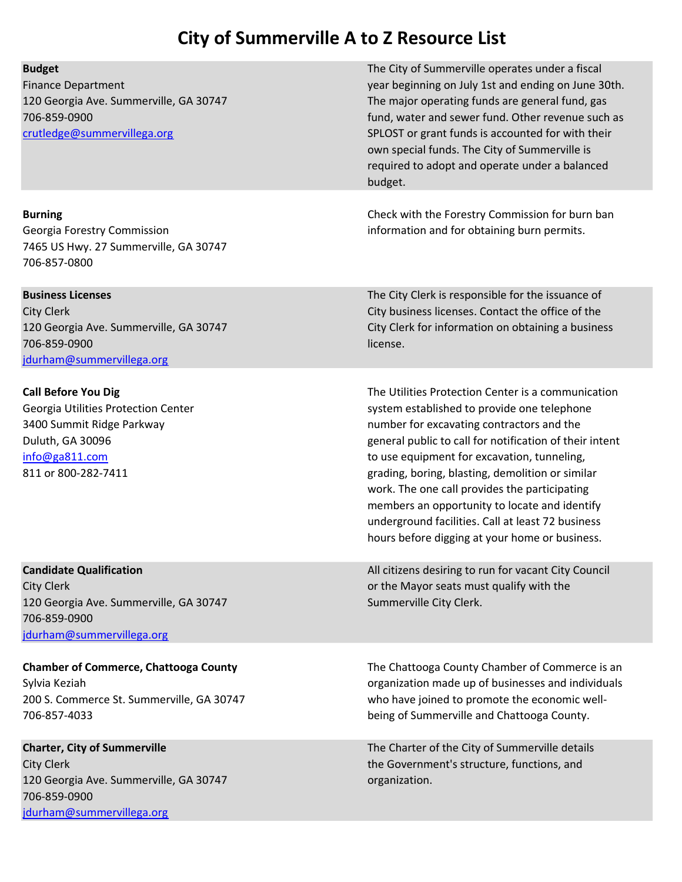| <b>Budget</b><br><b>Finance Department</b><br>120 Georgia Ave. Summerville, GA 30747<br>706-859-0900<br>crutledge@summervillega.org                         | The City of Summerville operates under a fiscal<br>year beginning on July 1st and ending on June 30th.<br>The major operating funds are general fund, gas<br>fund, water and sewer fund. Other revenue such as<br>SPLOST or grant funds is accounted for with their<br>own special funds. The City of Summerville is<br>required to adopt and operate under a balanced<br>budget.                                                                                                                                     |
|-------------------------------------------------------------------------------------------------------------------------------------------------------------|-----------------------------------------------------------------------------------------------------------------------------------------------------------------------------------------------------------------------------------------------------------------------------------------------------------------------------------------------------------------------------------------------------------------------------------------------------------------------------------------------------------------------|
| <b>Burning</b><br>Georgia Forestry Commission<br>7465 US Hwy. 27 Summerville, GA 30747<br>706-857-0800                                                      | Check with the Forestry Commission for burn ban<br>information and for obtaining burn permits.                                                                                                                                                                                                                                                                                                                                                                                                                        |
| <b>Business Licenses</b><br><b>City Clerk</b><br>120 Georgia Ave. Summerville, GA 30747<br>706-859-0900<br>jdurham@summervillega.org                        | The City Clerk is responsible for the issuance of<br>City business licenses. Contact the office of the<br>City Clerk for information on obtaining a business<br>license.                                                                                                                                                                                                                                                                                                                                              |
| <b>Call Before You Dig</b><br>Georgia Utilities Protection Center<br>3400 Summit Ridge Parkway<br>Duluth, GA 30096<br>info@ga811.com<br>811 or 800-282-7411 | The Utilities Protection Center is a communication<br>system established to provide one telephone<br>number for excavating contractors and the<br>general public to call for notification of their intent<br>to use equipment for excavation, tunneling,<br>grading, boring, blasting, demolition or similar<br>work. The one call provides the participating<br>members an opportunity to locate and identify<br>underground facilities. Call at least 72 business<br>hours before digging at your home or business. |
| <b>Candidate Qualification</b><br><b>City Clerk</b><br>120 Georgia Ave. Summerville, GA 30747<br>706-859-0900<br>jdurham@summervillega.org                  | All citizens desiring to run for vacant City Council<br>or the Mayor seats must qualify with the<br>Summerville City Clerk.                                                                                                                                                                                                                                                                                                                                                                                           |
| <b>Chamber of Commerce, Chattooga County</b><br>Sylvia Keziah<br>200 S. Commerce St. Summerville, GA 30747<br>706-857-4033                                  | The Chattooga County Chamber of Commerce is an<br>organization made up of businesses and individuals<br>who have joined to promote the economic well-<br>being of Summerville and Chattooga County.                                                                                                                                                                                                                                                                                                                   |
| <b>Charter, City of Summerville</b><br><b>City Clerk</b><br>120 Georgia Ave. Summerville, GA 30747<br>706-859-0900<br>jdurham@summervillega.org             | The Charter of the City of Summerville details<br>the Government's structure, functions, and<br>organization.                                                                                                                                                                                                                                                                                                                                                                                                         |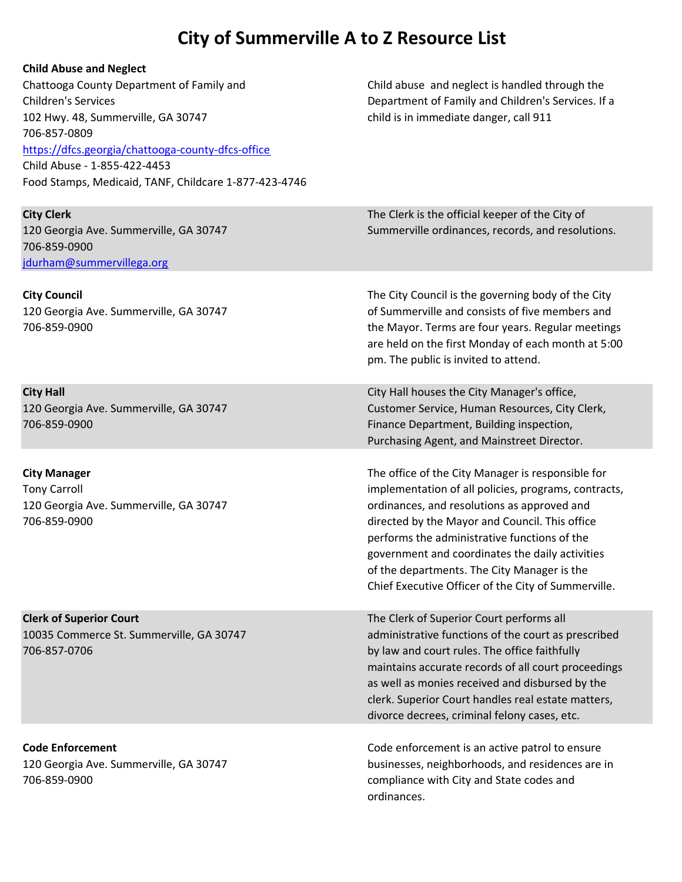| <b>Child Abuse and Neglect</b>                        |                                                      |
|-------------------------------------------------------|------------------------------------------------------|
| Chattooga County Department of Family and             | Child abuse and neglect is handled through the       |
| <b>Children's Services</b>                            | Department of Family and Children's Services. If a   |
| 102 Hwy. 48, Summerville, GA 30747                    | child is in immediate danger, call 911               |
| 706-857-0809                                          |                                                      |
| https://dfcs.georgia/chattooga-county-dfcs-office     |                                                      |
| Child Abuse - 1-855-422-4453                          |                                                      |
| Food Stamps, Medicaid, TANF, Childcare 1-877-423-4746 |                                                      |
|                                                       |                                                      |
| <b>City Clerk</b>                                     | The Clerk is the official keeper of the City of      |
| 120 Georgia Ave. Summerville, GA 30747                | Summerville ordinances, records, and resolutions.    |
| 706-859-0900                                          |                                                      |
| jdurham@summervillega.org                             |                                                      |
|                                                       |                                                      |
| <b>City Council</b>                                   | The City Council is the governing body of the City   |
| 120 Georgia Ave. Summerville, GA 30747                | of Summerville and consists of five members and      |
| 706-859-0900                                          | the Mayor. Terms are four years. Regular meetings    |
|                                                       | are held on the first Monday of each month at 5:00   |
|                                                       | pm. The public is invited to attend.                 |
|                                                       |                                                      |
| <b>City Hall</b>                                      | City Hall houses the City Manager's office,          |
| 120 Georgia Ave. Summerville, GA 30747                | Customer Service, Human Resources, City Clerk,       |
| 706-859-0900                                          | Finance Department, Building inspection,             |
|                                                       | Purchasing Agent, and Mainstreet Director.           |
|                                                       |                                                      |
| <b>City Manager</b>                                   | The office of the City Manager is responsible for    |
| <b>Tony Carroll</b>                                   | implementation of all policies, programs, contracts, |
| 120 Georgia Ave. Summerville, GA 30747                | ordinances, and resolutions as approved and          |
| 706-859-0900                                          | directed by the Mayor and Council. This office       |
|                                                       | performs the administrative functions of the         |
|                                                       | government and coordinates the daily activities      |
|                                                       | of the departments. The City Manager is the          |
|                                                       | Chief Executive Officer of the City of Summerville.  |
| <b>Clerk of Superior Court</b>                        | The Clerk of Superior Court performs all             |
| 10035 Commerce St. Summerville, GA 30747              | administrative functions of the court as prescribed  |
| 706-857-0706                                          | by law and court rules. The office faithfully        |
|                                                       | maintains accurate records of all court proceedings  |
|                                                       | as well as monies received and disbursed by the      |
|                                                       | clerk. Superior Court handles real estate matters,   |
|                                                       | divorce decrees, criminal felony cases, etc.         |
|                                                       |                                                      |
| <b>Code Enforcement</b>                               | Code enforcement is an active patrol to ensure       |
| 120 Georgia Ave. Summerville, GA 30747                | businesses, neighborhoods, and residences are in     |
| 706-859-0900                                          | compliance with City and State codes and             |
|                                                       | ordinances.                                          |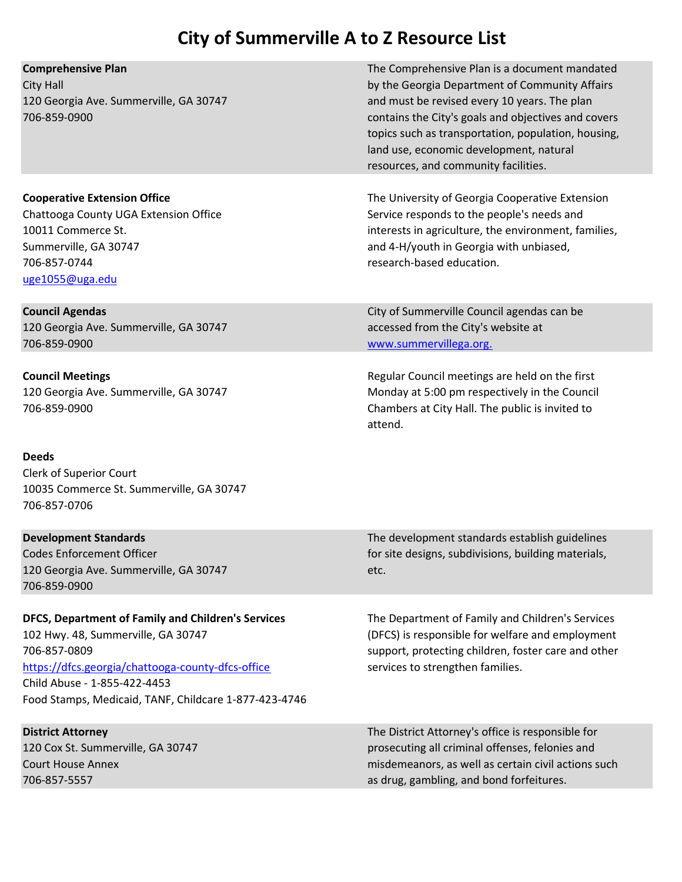| The Comprehensive Plan is a document mandated<br>by the Georgia Department of Community Affairs<br>and must be revised every 10 years. The plan<br>contains the City's goals and objectives and covers<br>topics such as transportation, population, housing,<br>land use, economic development, natural<br>resources, and community facilities. |
|--------------------------------------------------------------------------------------------------------------------------------------------------------------------------------------------------------------------------------------------------------------------------------------------------------------------------------------------------|
| The University of Georgia Cooperative Extension<br>Service responds to the people's needs and<br>interests in agriculture, the environment, families,<br>and 4-H/youth in Georgia with unbiased,<br>research-based education.                                                                                                                    |
| City of Summerville Council agendas can be<br>accessed from the City's website at<br>www.summervillega.org.                                                                                                                                                                                                                                      |
| Regular Council meetings are held on the first<br>Monday at 5:00 pm respectively in the Council<br>Chambers at City Hall. The public is invited to<br>attend.                                                                                                                                                                                    |
|                                                                                                                                                                                                                                                                                                                                                  |
| The development standards establish guidelines<br>for site designs, subdivisions, building materials,<br>etc.                                                                                                                                                                                                                                    |
| The Department of Family and Children's Services<br>(DFCS) is responsible for welfare and employment<br>support, protecting children, foster care and other<br>services to strengthen families.                                                                                                                                                  |
| The District Attorney's office is responsible for<br>prosecuting all criminal offenses, felonies and<br>misdemeanors, as well as certain civil actions such<br>as drug, gambling, and bond forfeitures.                                                                                                                                          |
|                                                                                                                                                                                                                                                                                                                                                  |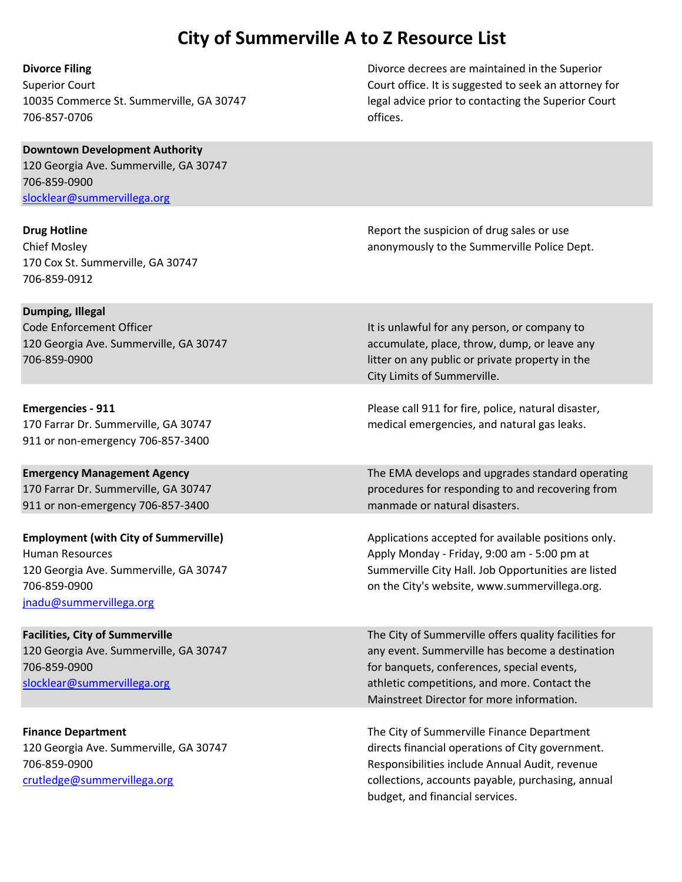706-857-0706 offices.

Divorce Filing Divorce decrees are maintained in the Superior Superior Court Court office. It is suggested to seek an attorney for 10035 Commerce St. Summerville, GA 30747 legal advice prior to contacting the Superior Court

### Downtown Development Authority 120 Georgia Ave. Summerville, GA 30747 706-859-0900 slocklear@summervillega.org

170 Cox St. Summerville, GA 30747 706-859-0912

Dumping, Illegal

911 or non-emergency 706-857-3400

911 or non-emergency 706-857-3400 manmade or natural disasters.

jnadu@summervillega.org

**Drug Hotline Community Community Community Community Community Report the suspicion of drug sales or use** Chief Mosley anonymously to the Summerville Police Dept.

Code Enforcement Officer **It is unlawful for any person, or company to It is unlawful for any person, or company to** 120 Georgia Ave. Summerville, GA 30747 accumulate, place, throw, dump, or leave any 706-859-0900 litter on any public or private property in the City Limits of Summerville.

**Emergencies - 911** Please call 911 for fire, police, natural disaster, 170 Farrar Dr. Summerville, GA 30747 medical emergencies, and natural gas leaks.

**Emergency Management Agency** The EMA develops and upgrades standard operating 170 Farrar Dr. Summerville, GA 30747 procedures for responding to and recovering from

Employment (with City of Summerville) Applications accepted for available positions only. Human Resources **Apply Monday - Friday, 9:00 am - 5:00 pm at** 120 Georgia Ave. Summerville, GA 30747 Summerville City Hall. Job Opportunities are listed 706-859-0900 on the City's website, www.summervillega.org.

Facilities, City of Summerville The City of Summerville offers quality facilities for 120 Georgia Ave. Summerville, GA 30747 any event. Summerville has become a destination 706-859-0900 for banquets, conferences, special events, slocklear@summervillega.org athletic competitions, and more. Contact the Mainstreet Director for more information.

Finance Department The City of Summerville Finance Department 120 Georgia Ave. Summerville, GA 30747 directs financial operations of City government. 706-859-0900 Responsibilities include Annual Audit, revenue crutledge@summervillega.org collections, accounts payable, purchasing, annual budget, and financial services.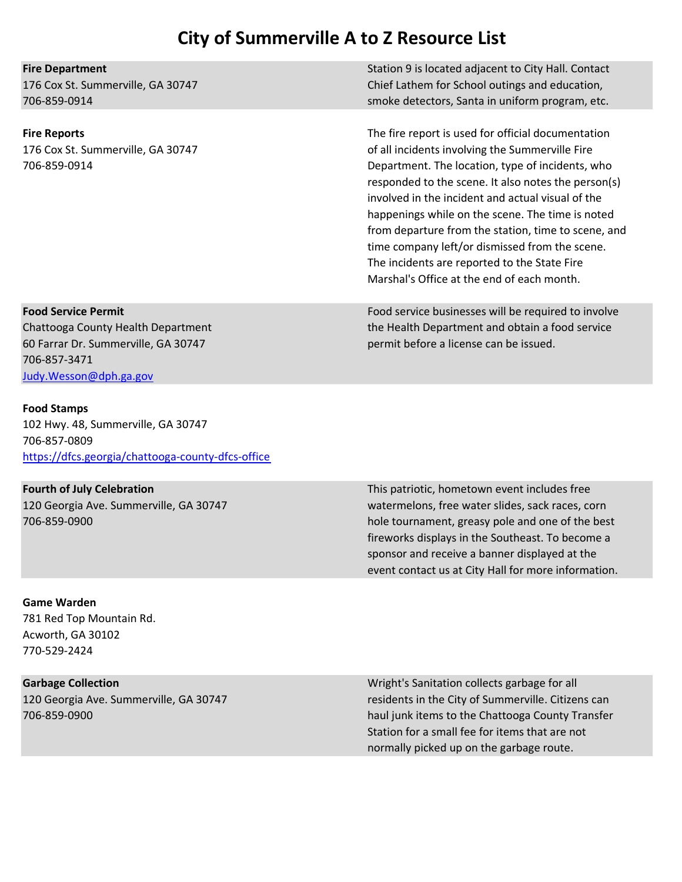Fire Department Station 9 is located adjacent to City Hall. Contact 176 Cox St. Summerville, GA 30747 Chief Lathem for School outings and education, 706-859-0914 smoke detectors, Santa in uniform program, etc.

Fire Reports The fire report is used for official documentation 176 Cox St. Summerville, GA 30747 of all incidents involving the Summerville Fire 706-859-0914 Department. The location, type of incidents, who responded to the scene. It also notes the person(s) involved in the incident and actual visual of the happenings while on the scene. The time is noted from departure from the station, time to scene, and time company left/or dismissed from the scene. The incidents are reported to the State Fire Marshal's Office at the end of each month.

Food Service Permit Food service businesses will be required to involve Chattooga County Health Department the Health Department and obtain a food service

60 Farrar Dr. Summerville, GA 30747 permit before a license can be issued. 706-857-3471 Judy.Wesson@dph.ga.gov

### Food Stamps

102 Hwy. 48, Summerville, GA 30747 706-857-0809 https://dfcs.georgia/chattooga-county-dfcs-office

Fourth of July Celebration This patriotic, hometown event includes free 120 Georgia Ave. Summerville, GA 30747 watermelons, free water slides, sack races, corn 706-859-0900 hole tournament, greasy pole and one of the best fireworks displays in the Southeast. To become a sponsor and receive a banner displayed at the event contact us at City Hall for more information.

### Game Warden

781 Red Top Mountain Rd. Acworth, GA 30102 770-529-2424

Garbage Collection **Garbage Collection** Collection Collects garbage for all and the Wright's Sanitation collects garbage for all 120 Georgia Ave. Summerville, GA 30747 residents in the City of Summerville. Citizens can 706-859-0900 haul junk items to the Chattooga County Transfer Station for a small fee for items that are not normally picked up on the garbage route.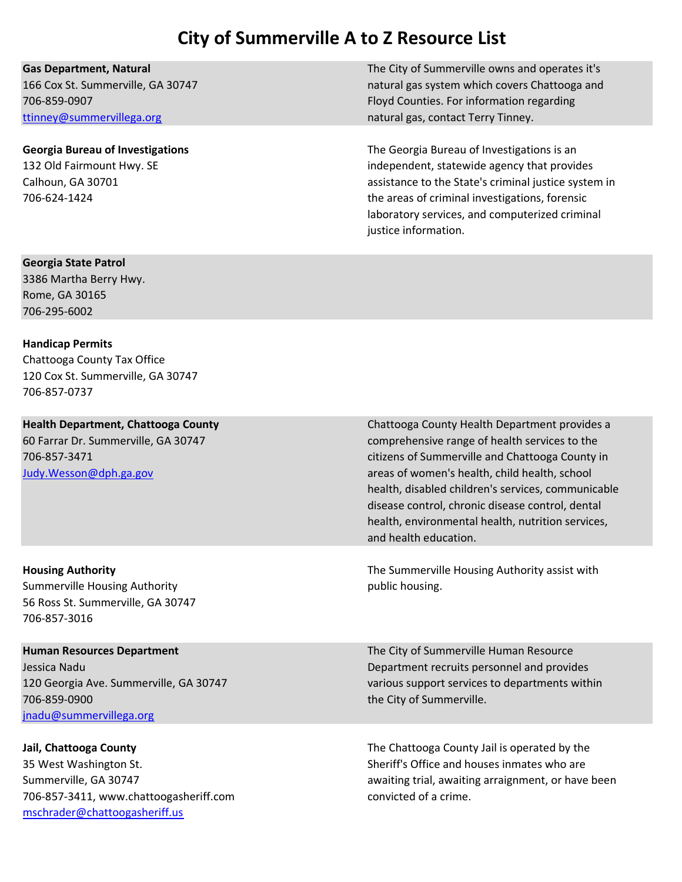ttinney@summervillega.org natural gas, contact Terry Tinney.

Gas Department, Natural The City of Summerville owns and operates it's 166 Cox St. Summerville, GA 30747 natural gas system which covers Chattooga and 706-859-0907 Floyd Counties. For information regarding

Georgia Bureau of Investigations The Georgia Bureau of Investigations is an 132 Old Fairmount Hwy. SE independent, statewide agency that provides Calhoun, GA 30701 assistance to the State's criminal justice system in 706-624-1424 the areas of criminal investigations, forensic laboratory services, and computerized criminal justice information.

### Georgia State Patrol

3386 Martha Berry Hwy. Rome, GA 30165 706-295-6002

### Handicap Permits

Chattooga County Tax Office 120 Cox St. Summerville, GA 30747 706-857-0737

Summerville Housing Authority **public housing.** The public housing. 56 Ross St. Summerville, GA 30747 706-857-3016

706-859-0900 the City of Summerville. jnadu@summervillega.org

706-857-3411, www.chattoogasheriff.com convicted of a crime. mschrader@chattoogasheriff.us

Health Department, Chattooga County Chattooga County Health Department provides a 60 Farrar Dr. Summerville, GA 30747 comprehensive range of health services to the 706-857-3471 citizens of Summerville and Chattooga County in Judy.Wesson@dph.ga.gov areas of women's health, child health, school health, disabled children's services, communicable disease control, chronic disease control, dental health, environmental health, nutrition services, and health education.

Housing Authority The Summerville Housing Authority assist with

**Human Resources Department The City of Summerville Human Resource** Jessica Nadu Department recruits personnel and provides 120 Georgia Ave. Summerville, GA 30747 various support services to departments within

Jail, Chattooga County **The Chattooga County The Chattooga County Jail is operated by the** 35 West Washington St. Sheriff's Office and houses inmates who are Summerville, GA 30747 **awaiting trial, awaiting arraignment**, or have been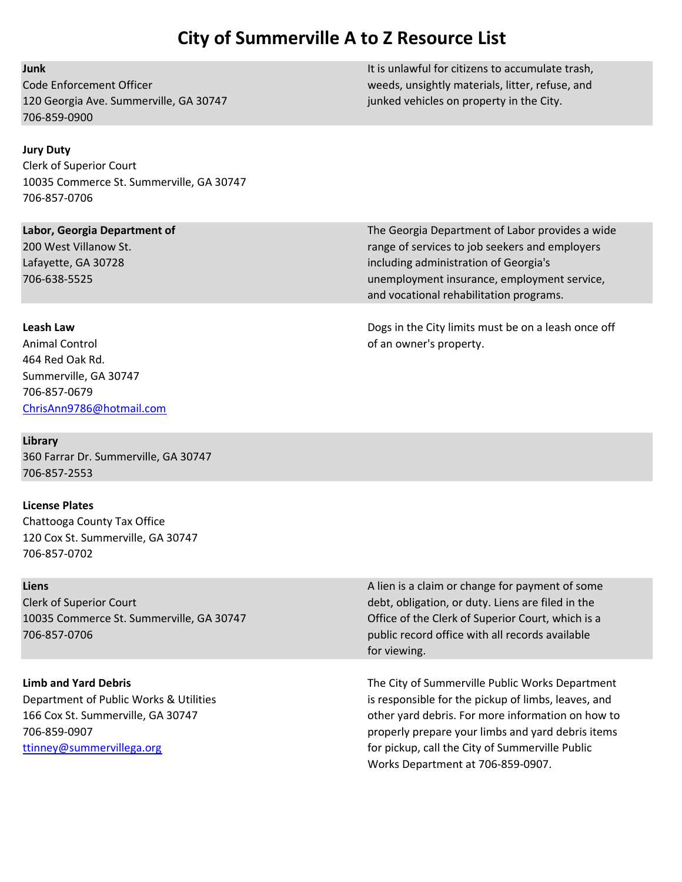120 Georgia Ave. Summerville, GA 30747 junked vehicles on property in the City. 706-859-0900

### Jury Duty

Clerk of Superior Court 10035 Commerce St. Summerville, GA 30747 706-857-0706

Animal Control of an owner's property. 464 Red Oak Rd. Summerville, GA 30747 706-857-0679 ChrisAnn9786@hotmail.com

Library 360 Farrar Dr. Summerville, GA 30747 706-857-2553

### License Plates

Chattooga County Tax Office 120 Cox St. Summerville, GA 30747 706-857-0702

706-857-0706 public record office with all records available

**Junk It is unlawful for citizens to accumulate trash, It is unlawful for citizens to accumulate trash,** Code Enforcement Officer weeds, unsightly materials, litter, refuse, and

Labor, Georgia Department of The Georgia Department of Labor provides a wide 200 West Villanow St. 200 West Villanow St. 200 West Villanow St. 7 angle of services to job seekers and employers Lafayette, GA 30728 **including administration of Georgia's** 706-638-5525 unemployment insurance, employment service, and vocational rehabilitation programs.

Leash Law Dogs in the City limits must be on a leash once off

Liens **Liens** A lien is a claim or change for payment of some and the payment of some and the payment of some and the payment of some and the payment of some and the payment of some and the payment of some and the payment Clerk of Superior Court debt, obligation, or duty. Liens are filed in the 10035 Commerce St. Summerville, GA 30747 Office of the Clerk of Superior Court, which is a for viewing.

Limb and Yard Debris The City of Summerville Public Works Department Department of Public Works & Utilities is responsible for the pickup of limbs, leaves, and 166 Cox St. Summerville, GA 30747 **Comparison Construction Construction** other yard debris. For more information on how to 706-859-0907 properly prepare your limbs and yard debris items ttinney@summervillega.org for pickup, call the City of Summerville Public Works Department at 706-859-0907.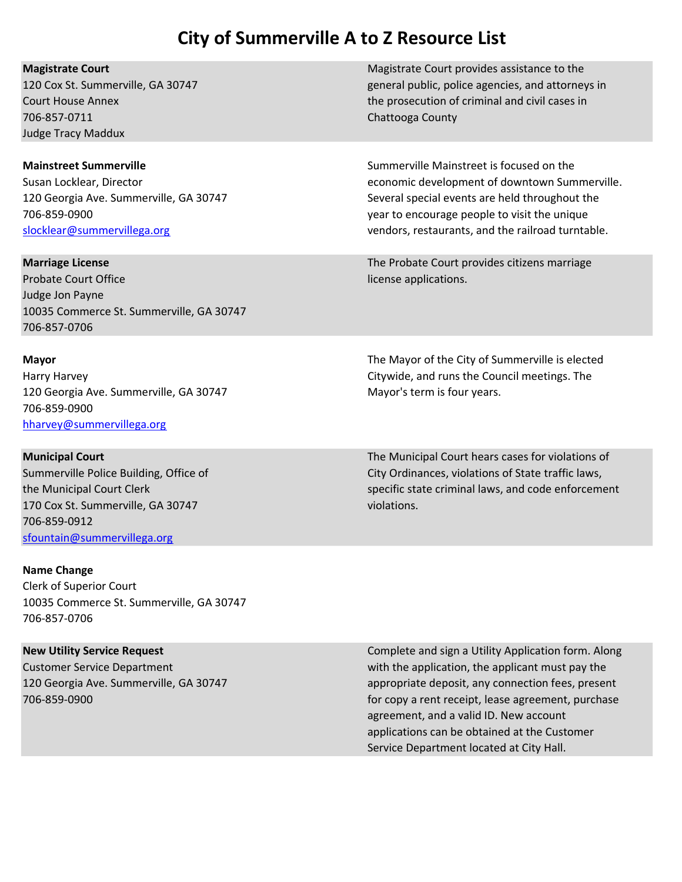| <b>Magistrate Court</b><br>120 Cox St. Summerville, GA 30747<br><b>Court House Annex</b><br>706-857-0711<br><b>Judge Tracy Maddux</b>                                             | Magistrate Court provides assistance to the<br>general public, police agencies, and attorneys in<br>the prosecution of criminal and civil cases in<br>Chattooga County                                                                           |
|-----------------------------------------------------------------------------------------------------------------------------------------------------------------------------------|--------------------------------------------------------------------------------------------------------------------------------------------------------------------------------------------------------------------------------------------------|
| <b>Mainstreet Summerville</b><br>Susan Locklear, Director<br>120 Georgia Ave. Summerville, GA 30747<br>706-859-0900<br>slocklear@summervillega.org                                | Summerville Mainstreet is focused on the<br>economic development of downtown Summerville.<br>Several special events are held throughout the<br>year to encourage people to visit the unique<br>vendors, restaurants, and the railroad turntable. |
| <b>Marriage License</b><br><b>Probate Court Office</b><br>Judge Jon Payne<br>10035 Commerce St. Summerville, GA 30747<br>706-857-0706                                             | The Probate Court provides citizens marriage<br>license applications.                                                                                                                                                                            |
| <b>Mayor</b><br>Harry Harvey<br>120 Georgia Ave. Summerville, GA 30747<br>706-859-0900<br>hharvey@summervillega.org                                                               | The Mayor of the City of Summerville is elected<br>Citywide, and runs the Council meetings. The<br>Mayor's term is four years.                                                                                                                   |
| <b>Municipal Court</b><br>Summerville Police Building, Office of<br>the Municipal Court Clerk<br>170 Cox St. Summerville, GA 30747<br>706-859-0912<br>sfountain@summervillega.org | The Municipal Court hears cases for violations of<br>City Ordinances, violations of State traffic laws,<br>specific state criminal laws, and code enforcement<br>violations.                                                                     |
| <b>Name Change</b><br><b>Clerk of Superior Court</b><br>10035 Commerce St. Summerville, GA 30747<br>706-857-0706                                                                  |                                                                                                                                                                                                                                                  |
| <b>New Utility Service Request</b>                                                                                                                                                | Complete and sign a Utility Application form. Along                                                                                                                                                                                              |

Customer Service Department with the application, the applicant must pay the 120 Georgia Ave. Summerville, GA 30747 appropriate deposit, any connection fees, present 706-859-0900 for copy a rent receipt, lease agreement, purchase agreement, and a valid ID. New account applications can be obtained at the Customer Service Department located at City Hall.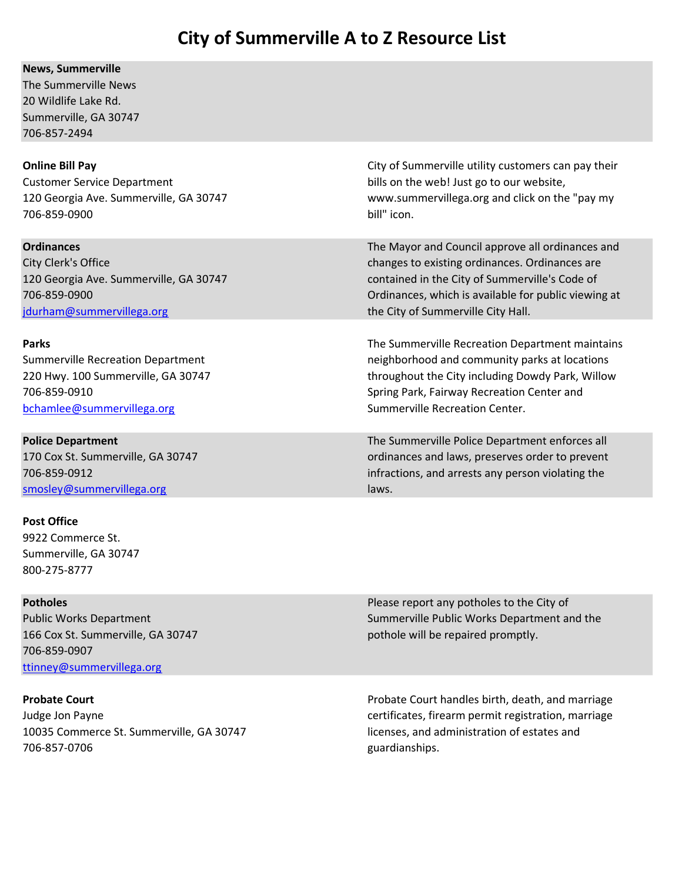### News, Summerville

The Summerville News 20 Wildlife Lake Rd. Summerville, GA 30747 706-857-2494

Customer Service Department bills on the web! Just go to our website, 706-859-0900 bill" icon.

jdurham@summervillega.org the City of Summerville City Hall.

bchamlee@summervillega.org Summerville Recreation Center.

smosley@summervillega.org laws.

### Post Office

9922 Commerce St. Summerville, GA 30747 800-275-8777

166 Cox St. Summerville, GA 30747 **pothole will be repaired promptly.** 706-859-0907 ttinney@summervillega.org

10035 Commerce St. Summerville, GA 30747 licenses, and administration of estates and 706-857-0706 guardianships.

**Online Bill Pay** City of Summerville utility customers can pay their 120 Georgia Ave. Summerville, GA 30747 www.summervillega.org and click on the "pay my

**Ordinances** The Mayor and Council approve all ordinances and Council approve all ordinances and City Clerk's Office **changes to existing ordinances. Ordinances** are 120 Georgia Ave. Summerville, GA 30747 contained in the City of Summerville's Code of 706-859-0900 Ordinances, which is available for public viewing at

**Parks** The Summerville Recreation Department maintains Community Controller Recreation Department maintains Summerville Recreation Department neighborhood and community parks at locations 220 Hwy. 100 Summerville, GA 30747 throughout the City including Dowdy Park, Willow 706-859-0910 Spring Park, Fairway Recreation Center and

**Police Department** The Summerville Police Department enforces all 170 Cox St. Summerville, GA 30747 ordinances and laws, preserves order to prevent 706-859-0912 infractions, and arrests any person violating the

**Potholes Potholes Potholes Potholes Please report any potholes to the City of Please report any potholes to the City of** Public Works Department Number of Summerville Public Works Department and the

**Probate Court Court Probate Court Probate Court handles birth, death, and marriage** Judge Jon Payne **certificates**, firearm permit registration, marriage certificates, firearm permit registration, marriage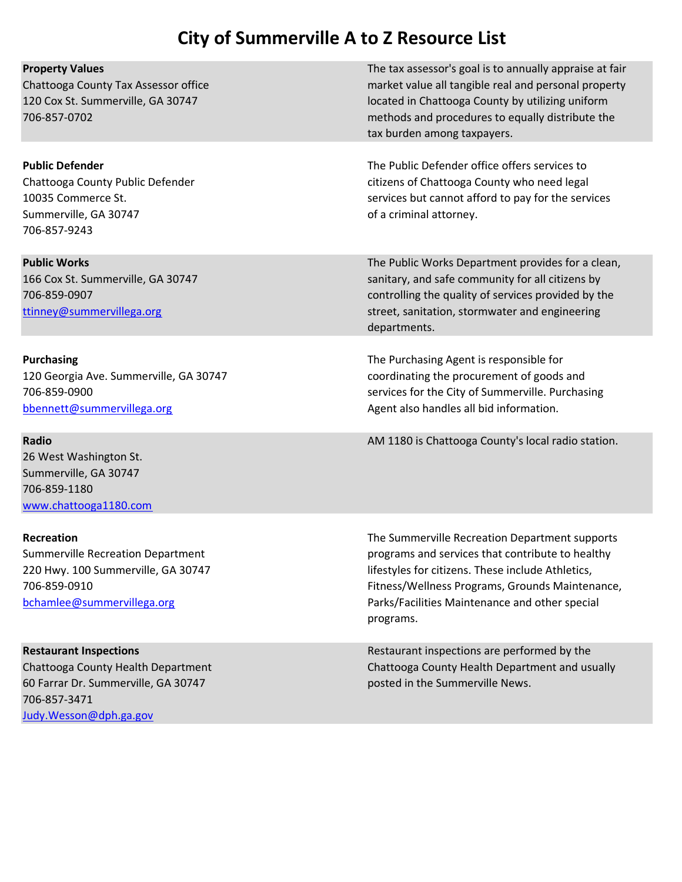| <b>Property Values</b>                                                                                                                                | The tax assessor's goal is to annually appraise at fair                                                                                                                                                                                                                   |
|-------------------------------------------------------------------------------------------------------------------------------------------------------|---------------------------------------------------------------------------------------------------------------------------------------------------------------------------------------------------------------------------------------------------------------------------|
| Chattooga County Tax Assessor office<br>120 Cox St. Summerville, GA 30747<br>706-857-0702                                                             | market value all tangible real and personal property<br>located in Chattooga County by utilizing uniform<br>methods and procedures to equally distribute the<br>tax burden among taxpayers.                                                                               |
| <b>Public Defender</b><br>Chattooga County Public Defender<br>10035 Commerce St.<br>Summerville, GA 30747<br>706-857-9243                             | The Public Defender office offers services to<br>citizens of Chattooga County who need legal<br>services but cannot afford to pay for the services<br>of a criminal attorney.                                                                                             |
| <b>Public Works</b><br>166 Cox St. Summerville, GA 30747<br>706-859-0907<br>ttinney@summervillega.org                                                 | The Public Works Department provides for a clean,<br>sanitary, and safe community for all citizens by<br>controlling the quality of services provided by the<br>street, sanitation, stormwater and engineering<br>departments.                                            |
| <b>Purchasing</b><br>120 Georgia Ave. Summerville, GA 30747<br>706-859-0900<br>bbennett@summervillega.org                                             | The Purchasing Agent is responsible for<br>coordinating the procurement of goods and<br>services for the City of Summerville. Purchasing<br>Agent also handles all bid information.                                                                                       |
| <b>Radio</b><br>26 West Washington St.<br>Summerville, GA 30747<br>706-859-1180<br>www.chattooga1180.com                                              | AM 1180 is Chattooga County's local radio station.                                                                                                                                                                                                                        |
| <b>Recreation</b><br>Summerville Recreation Department<br>220 Hwy. 100 Summerville, GA 30747<br>706-859-0910<br>bchamlee@summervillega.org            | The Summerville Recreation Department supports<br>programs and services that contribute to healthy<br>lifestyles for citizens. These include Athletics,<br>Fitness/Wellness Programs, Grounds Maintenance,<br>Parks/Facilities Maintenance and other special<br>programs. |
| <b>Restaurant Inspections</b><br>Chattooga County Health Department<br>60 Farrar Dr. Summerville, GA 30747<br>706-857-3471<br>Judy. Wesson@dph.ga.gov | Restaurant inspections are performed by the<br>Chattooga County Health Department and usually<br>posted in the Summerville News.                                                                                                                                          |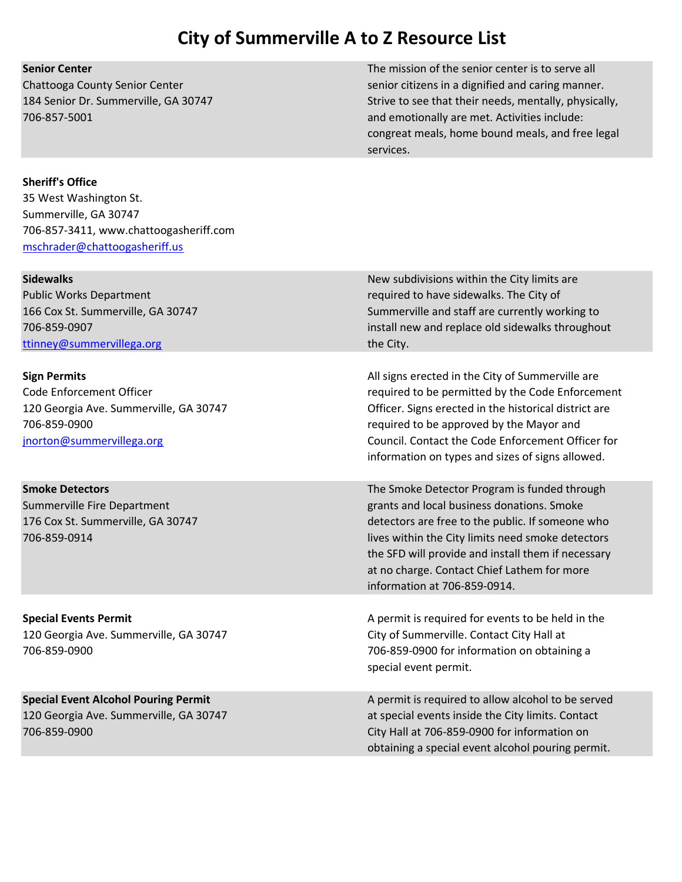Senior Center The mission of the senior center is to serve all Chattooga County Senior Center senior senior senior citizens in a dignified and caring manner. 184 Senior Dr. Summerville, GA 30747 Strive to see that their needs, mentally, physically, 706-857-5001 and emotionally are met. Activities include: congreat meals, home bound meals, and free legal services.

### Sheriff's Office

35 West Washington St. Summerville, GA 30747 706-857-3411, www.chattoogasheriff.com mschrader@chattoogasheriff.us

| <b>Sidewalks</b><br><b>Public Works Department</b><br>166 Cox St. Summerville, GA 30747<br>706-859-0907<br>ttinney@summervillega.org   | New subdivisions within the City limits are<br>required to have sidewalks. The City of<br>Summerville and staff are currently working to<br>install new and replace old sidewalks throughout<br>the City.                                                                                                                                |
|----------------------------------------------------------------------------------------------------------------------------------------|------------------------------------------------------------------------------------------------------------------------------------------------------------------------------------------------------------------------------------------------------------------------------------------------------------------------------------------|
| <b>Sign Permits</b><br>Code Enforcement Officer<br>120 Georgia Ave. Summerville, GA 30747<br>706-859-0900<br>jnorton@summervillega.org | All signs erected in the City of Summerville are<br>required to be permitted by the Code Enforcement<br>Officer. Signs erected in the historical district are<br>required to be approved by the Mayor and<br>Council. Contact the Code Enforcement Officer for<br>information on types and sizes of signs allowed.                       |
| <b>Smoke Detectors</b><br>Summerville Fire Department<br>176 Cox St. Summerville, GA 30747<br>706-859-0914                             | The Smoke Detector Program is funded through<br>grants and local business donations. Smoke<br>detectors are free to the public. If someone who<br>lives within the City limits need smoke detectors<br>the SFD will provide and install them if necessary<br>at no charge. Contact Chief Lathem for more<br>information at 706-859-0914. |
| <b>Special Events Permit</b><br>120 Georgia Ave. Summerville, GA 30747<br>706-859-0900                                                 | A permit is required for events to be held in the<br>City of Summerville. Contact City Hall at<br>706-859-0900 for information on obtaining a<br>special event permit.                                                                                                                                                                   |
| <b>Special Event Alcohol Pouring Permit</b><br>120 Georgia Ave. Summerville, GA 30747<br>706-859-0900                                  | A permit is required to allow alcohol to be served<br>at special events inside the City limits. Contact<br>City Hall at 706-859-0900 for information on<br>obtaining a special event alcohol pouring permit.                                                                                                                             |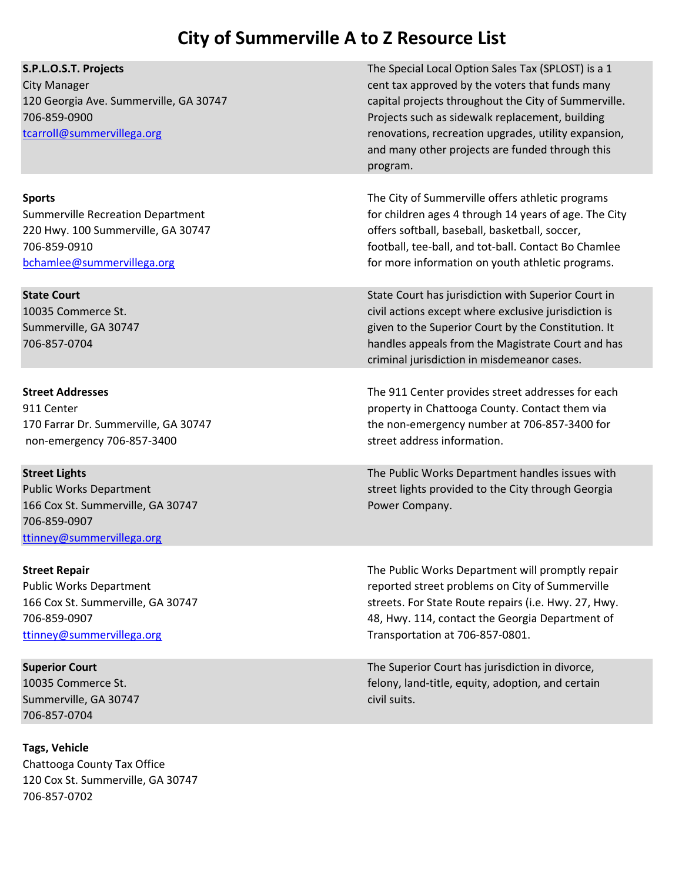| S.P.L.O.S.T. Projects<br><b>City Manager</b><br>120 Georgia Ave. Summerville, GA 30747<br>706-859-0900<br>tcarroll@summervillega.org          | The Special Local Option Sales Tax (SPLOST) is a 1<br>cent tax approved by the voters that funds many<br>capital projects throughout the City of Summerville.<br>Projects such as sidewalk replacement, building<br>renovations, recreation upgrades, utility expansion,<br>and many other projects are funded through this<br>program. |
|-----------------------------------------------------------------------------------------------------------------------------------------------|-----------------------------------------------------------------------------------------------------------------------------------------------------------------------------------------------------------------------------------------------------------------------------------------------------------------------------------------|
| <b>Sports</b><br><b>Summerville Recreation Department</b><br>220 Hwy. 100 Summerville, GA 30747<br>706-859-0910<br>bchamlee@summervillega.org | The City of Summerville offers athletic programs<br>for children ages 4 through 14 years of age. The City<br>offers softball, baseball, basketball, soccer,<br>football, tee-ball, and tot-ball. Contact Bo Chamlee<br>for more information on youth athletic programs.                                                                 |
| <b>State Court</b><br>10035 Commerce St.<br>Summerville, GA 30747<br>706-857-0704                                                             | State Court has jurisdiction with Superior Court in<br>civil actions except where exclusive jurisdiction is<br>given to the Superior Court by the Constitution. It<br>handles appeals from the Magistrate Court and has<br>criminal jurisdiction in misdemeanor cases.                                                                  |
| <b>Street Addresses</b><br>911 Center<br>170 Farrar Dr. Summerville, GA 30747<br>non-emergency 706-857-3400                                   | The 911 Center provides street addresses for each<br>property in Chattooga County. Contact them via<br>the non-emergency number at 706-857-3400 for<br>street address information.                                                                                                                                                      |
| <b>Street Lights</b><br><b>Public Works Department</b><br>166 Cox St. Summerville, GA 30747<br>706-859-0907<br>ttinney@summervillega.org      | The Public Works Department handles issues with<br>street lights provided to the City through Georgia<br>Power Company.                                                                                                                                                                                                                 |
| <b>Street Repair</b><br><b>Public Works Department</b><br>166 Cox St. Summerville, GA 30747<br>706-859-0907<br>ttinney@summervillega.org      | The Public Works Department will promptly repair<br>reported street problems on City of Summerville<br>streets. For State Route repairs (i.e. Hwy. 27, Hwy.<br>48, Hwy. 114, contact the Georgia Department of<br>Transportation at 706-857-0801.                                                                                       |
| <b>Superior Court</b><br>10035 Commerce St.<br>Summerville, GA 30747<br>706-857-0704                                                          | The Superior Court has jurisdiction in divorce,<br>felony, land-title, equity, adoption, and certain<br>civil suits.                                                                                                                                                                                                                    |

Tags, Vehicle Chattooga County Tax Office 120 Cox St. Summerville, GA 30747 706-857-0702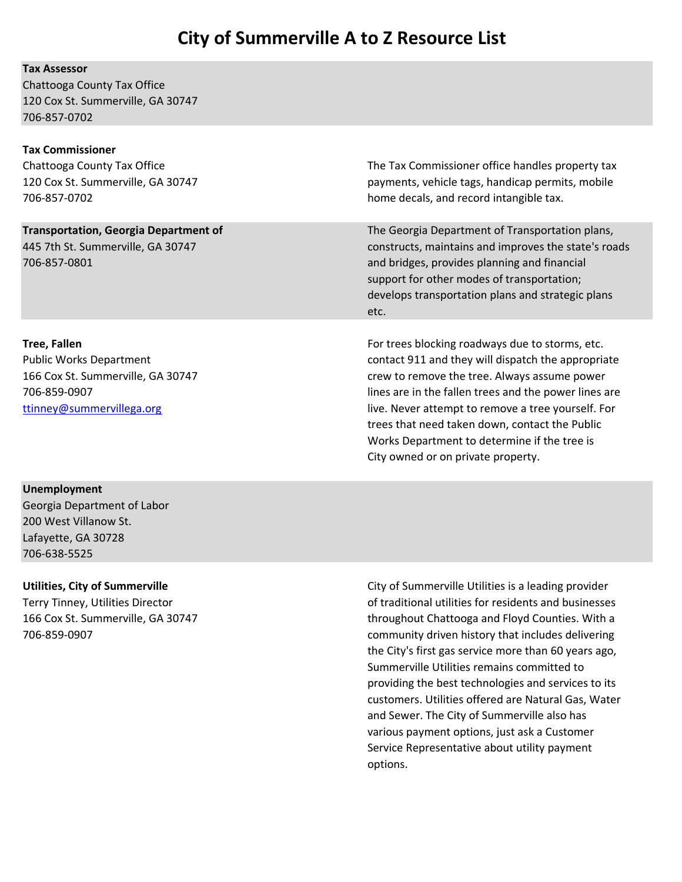### Tax Assessor

Chattooga County Tax Office 120 Cox St. Summerville, GA 30747 706-857-0702

### Tax Commissioner

Chattooga County Tax Office The Tax Commissioner office handles property tax 120 Cox St. Summerville, GA 30747 payments, vehicle tags, handicap permits, mobile 706-857-0702 home decals, and record intangible tax.

**Transportation, Georgia Department of Transportation plans, The Georgia Department of Transportation plans,** 445 7th St. Summerville, GA 30747 constructs, maintains and improves the state's roads 706-857-0801 and bridges, provides planning and financial support for other modes of transportation; develops transportation plans and strategic plans etc.

Tree, Fallen For trees blocking roadways due to storms, etc. Public Works Department contact 911 and they will dispatch the appropriate 166 Cox St. Summerville, GA 30747 crew to remove the tree. Always assume power 706-859-0907 lines are in the fallen trees and the power lines are ttinney@summervillega.org live. Never attempt to remove a tree yourself. For trees that need taken down, contact the Public Works Department to determine if the tree is City owned or on private property.

### Unemployment

Georgia Department of Labor 200 West Villanow St. Lafayette, GA 30728 706-638-5525

Utilities, City of Summerville City of Summerville Utilities is a leading provider Terry Tinney, Utilities Director of traditional utilities for residents and businesses 166 Cox St. Summerville, GA 30747 throughout Chattooga and Floyd Counties. With a 706-859-0907 community driven history that includes delivering the City's first gas service more than 60 years ago, Summerville Utilities remains committed to providing the best technologies and services to its customers. Utilities offered are Natural Gas, Water and Sewer. The City of Summerville also has various payment options, just ask a Customer Service Representative about utility payment options.